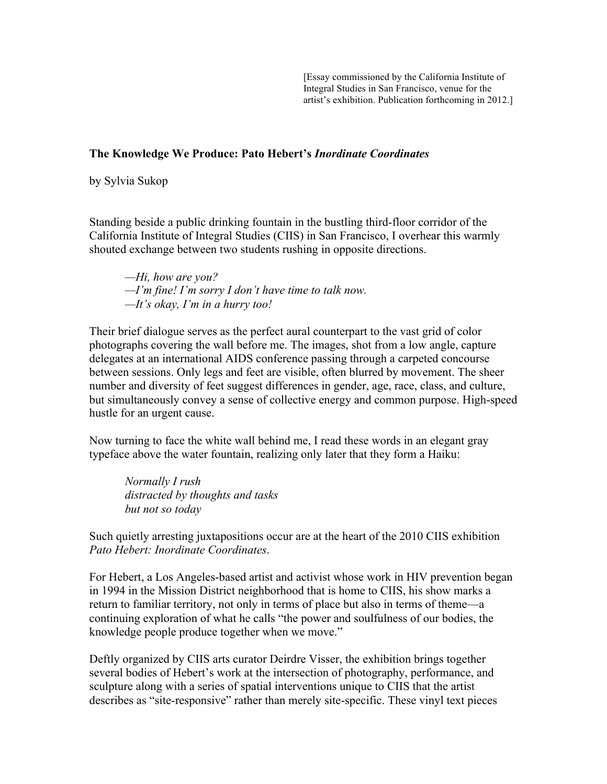[Essay commissioned by the California Institute of Integral Studies in San Francisco, venue for the artist's exhibition. Publication forthcoming in 2012.]

## **The Knowledge We Produce: Pato Hebert's** *Inordinate Coordinates*

by Sylvia Sukop

Standing beside a public drinking fountain in the bustling third-floor corridor of the California Institute of Integral Studies (CIIS) in San Francisco, I overhear this warmly shouted exchange between two students rushing in opposite directions.

*—Hi, how are you? —I'm fine! I'm sorry I don't have time to talk now. —It's okay, I'm in a hurry too!*

Their brief dialogue serves as the perfect aural counterpart to the vast grid of color photographs covering the wall before me. The images, shot from a low angle, capture delegates at an international AIDS conference passing through a carpeted concourse between sessions. Only legs and feet are visible, often blurred by movement. The sheer number and diversity of feet suggest differences in gender, age, race, class, and culture, but simultaneously convey a sense of collective energy and common purpose. High-speed hustle for an urgent cause.

Now turning to face the white wall behind me, I read these words in an elegant gray typeface above the water fountain, realizing only later that they form a Haiku:

*Normally I rush distracted by thoughts and tasks but not so today*

Such quietly arresting juxtapositions occur are at the heart of the 2010 CIIS exhibition *Pato Hebert: Inordinate Coordinates*.

For Hebert, a Los Angeles-based artist and activist whose work in HIV prevention began in 1994 in the Mission District neighborhood that is home to CIIS, his show marks a return to familiar territory, not only in terms of place but also in terms of theme—a continuing exploration of what he calls "the power and soulfulness of our bodies, the knowledge people produce together when we move."

Deftly organized by CIIS arts curator Deirdre Visser, the exhibition brings together several bodies of Hebert's work at the intersection of photography, performance, and sculpture along with a series of spatial interventions unique to CIIS that the artist describes as "site-responsive" rather than merely site-specific. These vinyl text pieces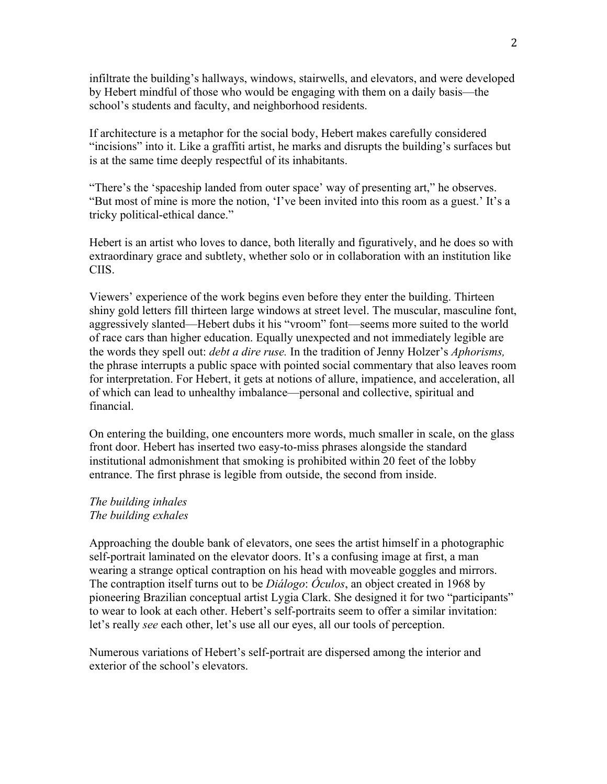infiltrate the building's hallways, windows, stairwells, and elevators, and were developed by Hebert mindful of those who would be engaging with them on a daily basis—the school's students and faculty, and neighborhood residents.

If architecture is a metaphor for the social body, Hebert makes carefully considered "incisions" into it. Like a graffiti artist, he marks and disrupts the building's surfaces but is at the same time deeply respectful of its inhabitants.

"There's the 'spaceship landed from outer space' way of presenting art," he observes. "But most of mine is more the notion, 'I've been invited into this room as a guest.' It's a tricky political-ethical dance."

Hebert is an artist who loves to dance, both literally and figuratively, and he does so with extraordinary grace and subtlety, whether solo or in collaboration with an institution like CIIS.

Viewers' experience of the work begins even before they enter the building. Thirteen shiny gold letters fill thirteen large windows at street level. The muscular, masculine font, aggressively slanted—Hebert dubs it his "vroom" font—seems more suited to the world of race cars than higher education. Equally unexpected and not immediately legible are the words they spell out: *debt a dire ruse.* In the tradition of Jenny Holzer's *Aphorisms,* the phrase interrupts a public space with pointed social commentary that also leaves room for interpretation. For Hebert, it gets at notions of allure, impatience, and acceleration, all of which can lead to unhealthy imbalance—personal and collective, spiritual and financial.

On entering the building, one encounters more words, much smaller in scale, on the glass front door. Hebert has inserted two easy-to-miss phrases alongside the standard institutional admonishment that smoking is prohibited within 20 feet of the lobby entrance. The first phrase is legible from outside, the second from inside.

## *The building inhales The building exhales*

Approaching the double bank of elevators, one sees the artist himself in a photographic self-portrait laminated on the elevator doors. It's a confusing image at first, a man wearing a strange optical contraption on his head with moveable goggles and mirrors. The contraption itself turns out to be *Diálogo*: *Óculos*, an object created in 1968 by pioneering Brazilian conceptual artist Lygia Clark. She designed it for two "participants" to wear to look at each other. Hebert's self-portraits seem to offer a similar invitation: let's really *see* each other, let's use all our eyes, all our tools of perception.

Numerous variations of Hebert's self-portrait are dispersed among the interior and exterior of the school's elevators.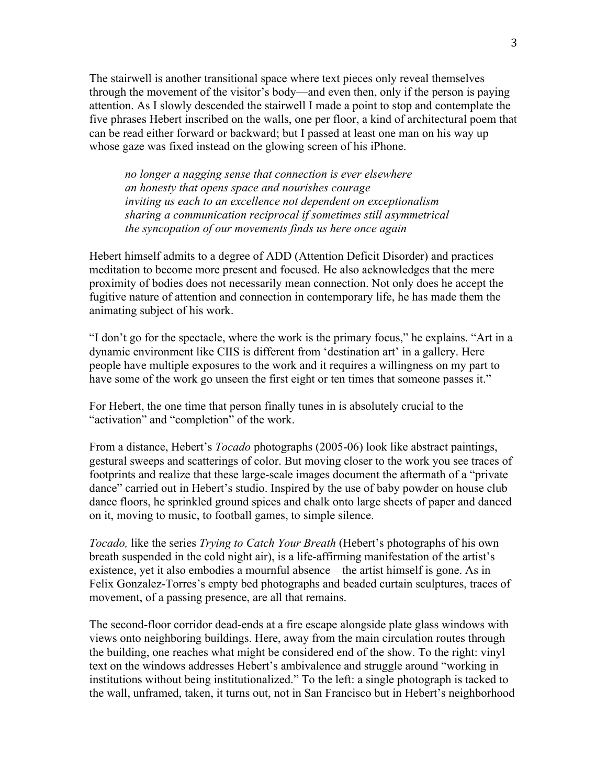The stairwell is another transitional space where text pieces only reveal themselves through the movement of the visitor's body—and even then, only if the person is paying attention. As I slowly descended the stairwell I made a point to stop and contemplate the five phrases Hebert inscribed on the walls, one per floor, a kind of architectural poem that can be read either forward or backward; but I passed at least one man on his way up whose gaze was fixed instead on the glowing screen of his iPhone.

*no longer a nagging sense that connection is ever elsewhere an honesty that opens space and nourishes courage inviting us each to an excellence not dependent on exceptionalism sharing a communication reciprocal if sometimes still asymmetrical the syncopation of our movements finds us here once again*

Hebert himself admits to a degree of ADD (Attention Deficit Disorder) and practices meditation to become more present and focused. He also acknowledges that the mere proximity of bodies does not necessarily mean connection. Not only does he accept the fugitive nature of attention and connection in contemporary life, he has made them the animating subject of his work.

"I don't go for the spectacle, where the work is the primary focus," he explains. "Art in a dynamic environment like CIIS is different from 'destination art' in a gallery. Here people have multiple exposures to the work and it requires a willingness on my part to have some of the work go unseen the first eight or ten times that someone passes it."

For Hebert, the one time that person finally tunes in is absolutely crucial to the "activation" and "completion" of the work.

From a distance, Hebert's *Tocado* photographs (2005-06) look like abstract paintings, gestural sweeps and scatterings of color. But moving closer to the work you see traces of footprints and realize that these large-scale images document the aftermath of a "private dance" carried out in Hebert's studio. Inspired by the use of baby powder on house club dance floors, he sprinkled ground spices and chalk onto large sheets of paper and danced on it, moving to music, to football games, to simple silence.

*Tocado,* like the series *Trying to Catch Your Breath* (Hebert's photographs of his own breath suspended in the cold night air), is a life-affirming manifestation of the artist's existence, yet it also embodies a mournful absence—the artist himself is gone. As in Felix Gonzalez-Torres's empty bed photographs and beaded curtain sculptures, traces of movement, of a passing presence, are all that remains.

The second-floor corridor dead-ends at a fire escape alongside plate glass windows with views onto neighboring buildings. Here, away from the main circulation routes through the building, one reaches what might be considered end of the show. To the right: vinyl text on the windows addresses Hebert's ambivalence and struggle around "working in institutions without being institutionalized." To the left: a single photograph is tacked to the wall, unframed, taken, it turns out, not in San Francisco but in Hebert's neighborhood